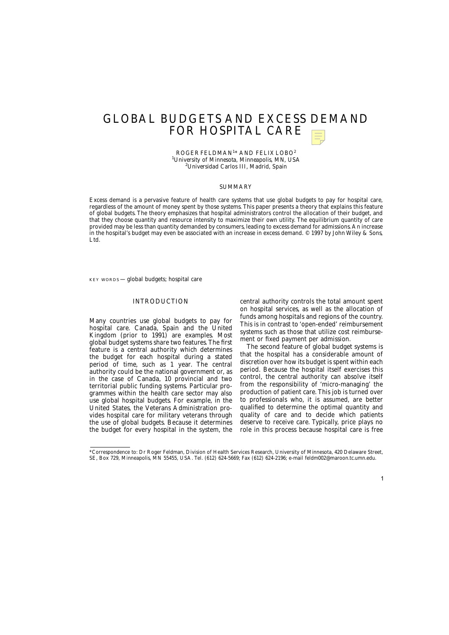# GLOBAL BUDGETS AND EXCESS DEMAND FOR HOSPITAL CARE

ROGER FELDMAN<sup>1</sup> \* AND FELIX LOBO<sup>2</sup> *1 University of Minnesota, Minneapolis, MN, USA <sup>2</sup> Universidad Carlos III, Madrid, Spain*

#### SUMMARY

Excess demand is a pervasive feature of health care systems that use global budgets to pay for hospital care, regardless of the amount of money spent by those systems. This paper presents a theory that explains this feature of global budgets. The theory emphasizes that hospital administrators control the allocation of their budget, and that they choose quantity and resource intensity to maximize their own utility. The equilibrium quantity of care provided may be less than quantity demanded by consumers, leading to excess demand for admissions. An increase in the hospital's budget may even be associated with an increase in excess demand. © 1997 by John Wiley & Sons, Ltd.

KEY WORDS — global budgets; hospital care

#### INTRODUCTION

Many countries use global budgets to pay for hospital care. Canada, Spain and the United Kingdom (prior to 1991) are examples. Most global budget systems share two features. The first feature is a central authority which determines the budget for each hospital during a stated period of time, such as 1 year. The central authority could be the national government or, as in the case of Canada, 10 provincial and two territorial public funding systems. Particular programmes within the health care sector may also use global hospital budgets. For example, in the United States, the Veterans Administration provides hospital care for military veterans through the use of global budgets. Because it determines the budget for every hospital in the system, the central authority controls the total amount spent on hospital services, as well as the allocation of funds among hospitals and regions of the country. This is in contrast to 'open-ended' reimbursement systems such as those that utilize cost reimbursement or fixed payment per admission.

The second feature of global budget systems is that the hospital has a considerable amount of discretion over how its budget is spent within each period. Because the hospital itself exercises this control, the central authority can absolve itself from the responsibility of 'micro-managing' the production of patient care. This job is turned over to professionals who, it is assumed, are better qualified to determine the optimal quantity and quality of care and to decide which patients deserve to receive care. Typically, price plays no role in this process because hospital care is free

<sup>\*</sup>Correspondence to: Dr Roger Feldman, Division of Health Services Research, University of Minnesota, 420 Delaware Street, SE, Box 729, Minneapolis, MN 55455, USA. Tel. (612) 624-5669; Fax (612) 624-2196; e-mail feldm002@maroon.tc.umn.edu.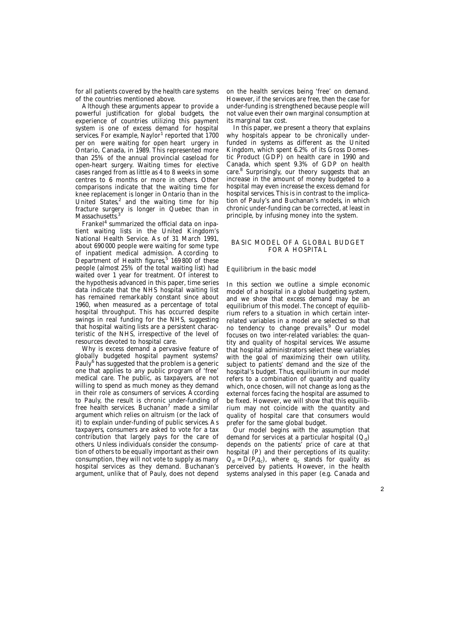for all patients covered by the health care systems of the countries mentioned above.

Although these arguments appear to provide a powerful justification for global budgets, the experience of countries utilizing this payment system is one of excess demand for hospital services. For example, Naylor<sup>1</sup> reported that  $1700$ per on were waiting for open heart urgery in Ontario, Canada, in 1989. This represented more than 25% of the annual provincial caseload for open-heart surgery. Waiting times for elective cases ranged from as little as 4 to 8 weeks in some centres to 6 months or more in others. Other comparisons indicate that the waiting time for knee replacement is longer in Ontario than in the United States, $2$  and the waiting time for hip fracture surgery is longer in Quebec than in Massachusetts.<sup>3</sup>

Frankel<sup>4</sup> summarized the official data on inpatient waiting lists in the United Kingdom's National Health Service. As of 31 March 1991, about 690 000 people were waiting for some type of inpatient medical admission. According to Department of Health figures, $5169800$  of these people (almost 25% of the total waiting list) had waited over 1 year for treatment. Of interest to the hypothesis advanced in this paper, time series data indicate that the NHS hospital waiting list has remained remarkably constant since about 1960, when measured as a percentage of total hospital throughput. This has occurred despite swings in real funding for the NHS, suggesting that hospital waiting lists are a persistent characteristic of the NHS, irrespective of the level of resources devoted to hospital care.

Why is excess demand a pervasive feature of globally budgeted hospital payment systems? Pauly $\delta$  has suggested that the problem is a generic one that applies to any public program of 'free' medical care. The public, as taxpayers, are not willing to spend as much money as they demand in their role as consumers of services. According to Pauly, the result is chronic under-funding of free health services. Buchanan<sup>7</sup> made a similar argument which relies on altruism (or the lack of it) to explain under-funding of public services. As taxpayers, consumers are asked to vote for a tax contribution that largely pays for the care of others. Unless individuals consider the consumption of others to be equally important as their own consumption, they will not vote to supply as many hospital services as they demand. Buchanan's argument, unlike that of Pauly, does not depend

on the health services being 'free' on demand. However, if the services are free, then the case for under-funding is strengthened because people will not value even their own marginal consumption at its marginal tax cost.

In this paper, we present a theory that explains why hospitals appear to be chronically underfunded in systems as different as the United Kingdom, which spent 6.2% of its Gross Domestic Product (GDP) on health care in 1990 and Canada, which spent 9.3% of GDP on health care.8 Surprisingly, our theory suggests that an increase in the amount of money budgeted to a hospital may even *increase* the excess demand for hospital services. This is in contrast to the implication of Pauly's and Buchanan's models, in which chronic under-funding can be corrected, at least in principle, by infusing money into the system.

# BASIC MODEL OF A GLOBAL BUDGET FOR A HOSPITAL

# *Equilibrium in the basic model*

In this section we outline a simple economic model of a hospital in a global budgeting system, and we show that excess demand may be an equilibrium of this model. The concept of equilibrium refers to a situation in which certain interrelated variables in a model are selected so that no tendency to change prevails.<sup>9</sup> Our model focuses on two inter-related variables: the quantity and quality of hospital services. We assume that hospital administrators select these variables with the goal of maximizing their own utility, subject to patients' demand and the size of the hospital's budget. Thus, equilibrium in our model refers to a combination of quantity and quality which, once chosen, will not change as long as the external forces facing the hospital are assumed to be fixed. However, we will show that this equilibrium may not coincide with the quantity and quality of hospital care that consumers would prefer for the same global budget.

Our model begins with the assumption that demand for services at a particular hospital  $(Q_d)$ depends on the patients' price of care at that hospital (*P*) and their perceptions of its quality:  $Q_d = D(P, q_c)$ , where  $q_c$  stands for quality as perceived by patients. However, in the health systems analysed in this paper (e.g. Canada and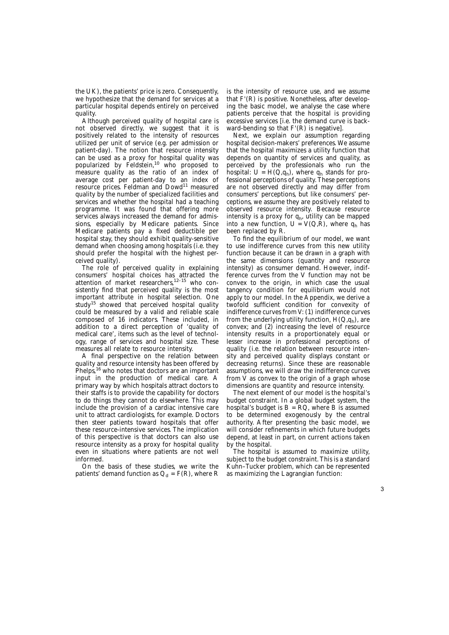the UK), the patients' price is zero. Consequently, we hypothesize that the demand for services at a particular hospital depends entirely on perceived quality.

Although perceived quality of hospital care is not observed directly, we suggest that it is positively related to the intensity of resources utilized per unit of service (e.g. per admission or patient-day). The notion that resource intensity can be used as a proxy for hospital quality was popularized by Feldstein,<sup>10</sup> who proposed to measure quality as the ratio of an index of average cost per patient-day to an index of resource prices. Feldman and Dowd<sup>11</sup> measured quality by the number of specialized facilities and services and whether the hospital had a teaching programme. It was found that offering more services always increased the demand for admissions, especially by Medicare patients. Since Medicare patients pay a fixed deductible per hospital stay, they should exhibit quality-sensitive demand when choosing among hospitals (i.e. they should prefer the hospital with the highest perceived quality).

The role of perceived quality in explaining consumers' hospital choices has attracted the attention of market researchers,12–15 who consistently find that perceived quality is the most important attribute in hospital selection. One study<sup>15</sup> showed that perceived hospital quality could be measured by a valid and reliable scale composed of 16 indicators. These included, in addition to a direct perception of 'quality of medical care', items such as the level of technology, range of services and hospital size. These measures all relate to resource intensity.

A final perspective on the relation between quality and resource intensity has been offered by Phelps,  $16$  who notes that doctors are an important input in the production of medical care. A primary way by which hospitals attract doctors to their staffs is to provide the capability for doctors to do things they cannot do elsewhere. This may include the provision of a cardiac intensive care unit to attract cardiologists, for example. Doctors then steer patients toward hospitals that offer these resource-intensive services. The implication of this perspective is that doctors can also use resource intensity as a proxy for hospital quality even in situations where patients are not well informed.

On the basis of these studies, we write the patients' demand function as  $Q_d = F(R)$ , where R is the intensity of resource use, and we assume that  $F(R)$  is positive. Nonetheless, after developing the basic model, we analyse the case where patients perceive that the hospital is providing excessive services [i.e. the demand curve is backward-bending so that  $F(R)$  is negative].

Next, we explain our assumption regarding hospital decision-makers' preferences. We assume that the hospital maximizes a utility function that depends on quantity of services and quality, as perceived by the professionals who run the hospital:  $U = H(Q, q_h)$ , where  $q_h$  stands for professional perceptions of quality. These perceptions are not observed directly and may differ from consumers' perceptions, but like consumers' perceptions, we assume they are positively related to observed resource intensity. Because resource intensity is a proxy for  $q<sub>h</sub>$ , utility can be mapped into a new function,  $U = V(Q, R)$ , where  $q_h$  has been replaced by *R*.

To find the equilibrium of our model, we want to use indifference curves from this new utility function because it can be drawn in a graph with the same dimensions (quantity and resource intensity) as consumer demand. However, indifference curves from the *V* function may not be convex to the origin, in which case the usual tangency condition for equilibrium would not apply to our model. In the Appendix, we derive a twofold sufficient condition for convexity of indifference curves from *V*: (1) indifference curves from the underlying utility function, *H*(*Q,q*h), are convex; and (2) increasing the level of resource intensity results in a proportionately equal or lesser increase in professional perceptions of quality (i.e. the relation between resource intensity and perceived quality displays constant or decreasing returns). Since these are reasonable assumptions, we will draw the indifference curves from *V* as convex to the origin of a graph whose dimensions are quantity and resource intensity.

The next element of our model is the hospital's budget constraint. In a global budget system, the hospital's budget is  $B = RQ$ , where *B* is assumed to be determined exogenously by the central authority. After presenting the basic model, we will consider refinements in which future budgets depend, at least in part, on current actions taken by the hospital.

The hospital is assumed to maximize utility, subject to the budget constraint. This is a standard Kuhn–Tucker problem, which can be represented as maximizing the Lagrangian function: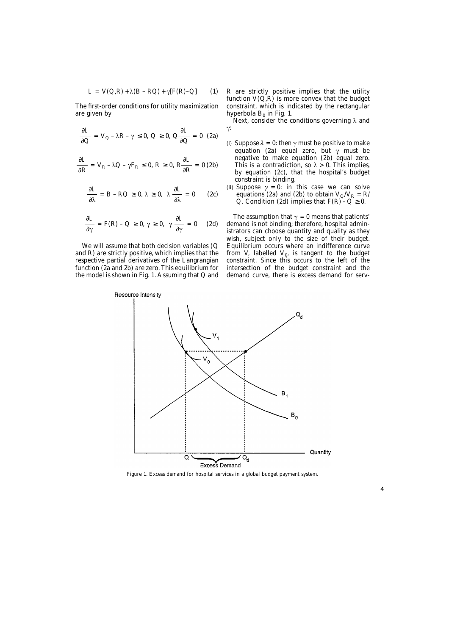$$
L = V(Q,R) + \lambda (B - RQ) + \gamma [F(R) - Q] \qquad (1)
$$

The first-order conditions for utility maximization are given by

$$
\frac{\partial L}{\partial Q} = V_Q - \lambda R - \gamma \le 0, \ Q \ge 0, \ Q \frac{\partial L}{\partial Q} = 0 \quad \text{(2a)}
$$

$$
\frac{\partial L}{\partial R} = V_R - \lambda Q - \gamma F_R \leq 0, R \geq 0, R \frac{\partial L}{\partial R} = 0
$$
 (2b)

$$
\frac{\partial L}{\partial \lambda} = B - RQ \ge 0, \ \lambda \ge 0, \ \lambda \frac{\partial L}{\partial \lambda} = 0 \qquad (2c)
$$

$$
\frac{\partial L}{\partial \gamma} = F(R) - Q \ge 0, \ \gamma \ge 0, \ \gamma \frac{\partial L}{\partial \gamma} = 0 \qquad (2d)
$$

We will assume that both decision variables (*Q* and *R*) are strictly positive, which implies that the respective partial derivatives of the Langrangian function (2a and 2b) are zero. This equilibrium for the model is shown in Fig. 1. Assuming that *Q* and *R* are strictly positive implies that the utility function  $V(Q,R)$  is more convex that the budget constraint, which is indicated by the rectangular hyperbola  $B_0$  in Fig. 1.

Next, consider the conditions governing  $\lambda$  and γ:

- (i) *Suppose*  $\lambda = 0$ : then  $\gamma$  must be positive to make equation (2a) equal zero, but  $\gamma$  must be negative to make equation (2b) equal zero. This is a contradiction, so  $\lambda > 0$ . This implies, by equation (2c), that the hospital's budget constraint is binding.
- (ii) *Suppose*  $\gamma = 0$ : in this case we can solve equations (2a) and (2b) to obtain  $V_Q/V_R = R/$ *Q*. Condition (2d) implies that  $F(R) - Q \ge 0$ .

The assumption that  $\gamma = 0$  means that patients' demand is not binding; therefore, hospital administrators can choose quantity and quality as they wish, subject only to the size of their budget. Equilibrium occurs where an indifference curve from *V*, labelled  $V_0$ , is tangent to the budget constraint. Since this occurs to the left of the intersection of the budget constraint and the demand curve, there is excess demand for serv-



Figure 1. Excess demand for hospital services in a global budget payment system.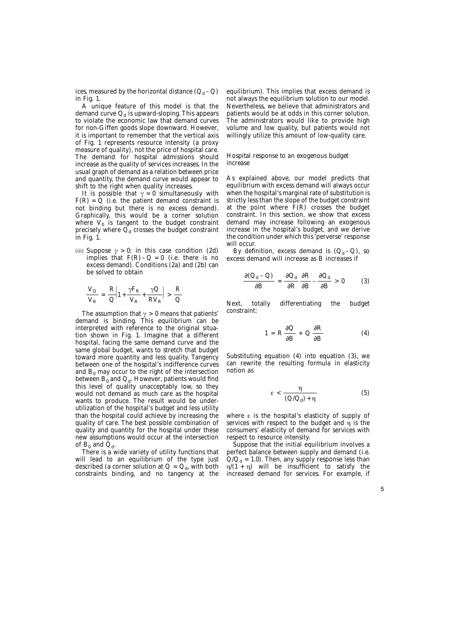ices, measured by the horizontal distance  $(Q_d - Q)$ in Fig. 1.

A unique feature of this model is that the demand curve  $Q_d$  is upward-sloping. This appears to violate the economic law that demand curves for non-Giffen goods slope downward. However, it is important to remember that the vertical axis of Fig. 1 represents resource intensity (a proxy measure of quality), not the price of hospital care. The demand for hospital admissions should increase as the quality of services increases. In the usual graph of demand as a relation between price and quantity, the demand curve would appear to shift to the right when quality increases.

It is possible that  $\gamma = 0$  simultaneously with  $F(R) = Q$  (i.e. the patient demand constraint is not binding but there is no excess demand). Graphically, this would be a corner solution where  $V_0$  is tangent to the budget constraint precisely where  $Q_d$  crosses the budget constraint in Fig. 1.

(iii) *Suppose*  $\gamma > 0$ : in this case condition (2d) implies that  $F(R) - Q = 0$  (i.e. there is no excess demand). Conditions (2a) and (2b) can be solved to obtain

$$
\frac{V_Q}{V_R} = \frac{R}{Q} \left| 1 + \frac{\gamma F_R}{V_R} + \frac{\gamma Q}{R V_R} \right| > \frac{R}{Q}
$$

The assumption that  $\gamma > 0$  means that patients' demand is binding. This equilibrium can be interpreted with reference to the original situation shown in Fig. 1. Imagine that a different hospital, facing the same demand curve and the same global budget, wants to stretch that budget toward more quantity and less quality. Tangency between one of the hospital's indifference curves and  $B_0$  may occur to the right of the intersection between  $B_0$  and  $Q_d$ . However, patients would find this level of quality unacceptably low, so they would not demand as much care as the hospital wants to produce. The result would be underutilization of the hospital's budget and less utility than the hospital could achieve by increasing the quality of care. The best possible combination of quality and quantity for the hospital under these new assumptions would occur at the intersection of  $B_0$  and  $Q_d$ .

There is a wide variety of utility functions that will lead to an equilibrium of the type just described (a corner solution at  $Q = Q_d$ , with both constraints binding, and no tangency at the equilibrium). This implies that excess demand is not always the equilibrium solution to our model. Nevertheless, we believe that administrators and patients would be at odds in this corner solution. The administrators would like to provide high volume and low quality, but patients would not willingly utilize this amount of low-quality care.

# *Hospital response to an exogenous budget increase*

As explained above, our model predicts that equilibrium with excess demand will always occur when the hospital's marginal rate of substitution is strictly less than the slope of the budget constraint at the point where  $F(R)$  crosses the budget constraint. In this section, we show that excess demand may increase following an exogenous increase in the hospital's budget, and we derive the condition under which this 'perverse' response will occur.

By definition, excess demand is  $(Q_d - Q)$ , so excess demand will increase as *B* increases if

$$
\frac{\partial (Q_{\rm d} - Q)}{\partial B} = \frac{\partial Q_{\rm d}}{\partial R} \frac{\partial R}{\partial B} - \frac{\partial Q_{\rm d}}{\partial B} > 0 \tag{3}
$$

Next, totally differentiating the budget constraint:

$$
1 = R \frac{\partial Q}{\partial B} + Q \frac{\partial R}{\partial B} \tag{4}
$$

Substituting equation (4) into equation (3), we can rewrite the resulting formula in elasticity notion as

$$
\varepsilon < \frac{\eta}{(Q/Q_d) + \eta} \tag{5}
$$

where  $\epsilon$  is the hospital's elasticity of supply of services with respect to the budget and η is the consumers' elasticity of demand for services with respect to resource intensity.

Suppose that the initial equilibrium involves a perfect balance between supply and demand (i.e.  $Q/Q<sub>d</sub> = 1.0$ ). Then, any supply response less than  $η/(1 + η)$  will be insufficient to satisfy the increased demand for services. For example, if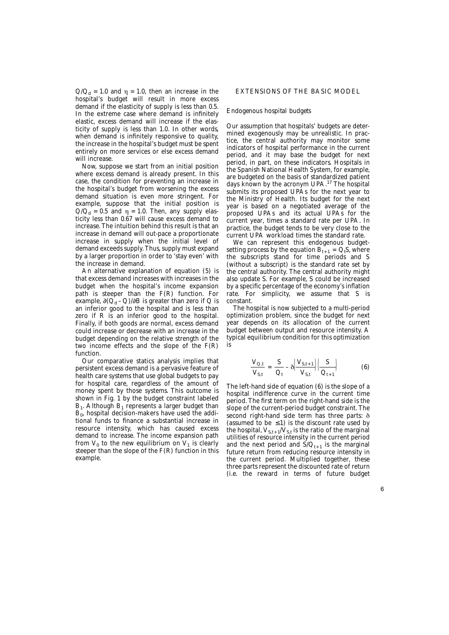$Q/Q_d = 1.0$  and  $\eta = 1.0$ , then an increase in the hospital's budget will result in more excess demand if the elasticity of supply is less than 0.5. In the extreme case where demand is infinitely elastic, excess demand will increase if the elasticity of supply is less than 1.0. In other words, when demand is infinitely responsive to quality, the increase in the hospital's budget must be spent entirely on more services or else excess demand will increase.

Now, suppose we start from an initial position where excess demand is already present. In this case, the condition for preventing an increase in the hospital's budget from worsening the excess demand situation is even more stringent. For example, suppose that the initial position is  $Q/Q_d = 0.5$  and  $\eta = 1.0$ . Then, any supply elasticity less than 0.67 will cause excess demand to increase. The intuition behind this result is that an increase in demand will out-pace a proportionate increase in supply when the initial level of demand exceeds supply. Thus, supply must expand by a larger proportion in order to 'stay even' with the increase in demand.

An alternative explanation of equation (5) is that excess demand increases with increases in the budget when the hospital's income expansion path is steeper than the *F*(*R*) function. For example,  $\partial (Q_d - Q)/\partial B$  is greater than zero if *Q* is an inferior good to the hospital and is less than zero if *R* is an inferior good to the hospital. Finally, if both goods are normal, excess demand could increase or decrease with an increase in the budget depending on the relative strength of the two income effects and the slope of the *F*(*R*) function.

Our comparative statics analysis implies that persistent excess demand is a pervasive feature of health care systems that use global budgets to pay for hospital care, regardless of the amount of money spent by those systems. This outcome is shown in Fig. 1 by the budget constraint labeled  $B_1$ . Although  $B_1$  represents a larger budget than  $B<sub>0</sub>$ , hospital decision-makers have used the additional funds to finance a substantial increase in resource intensity, which has caused excess demand to increase. The income expansion path from  $V_0$  to the new equilibrium on  $V_1$  is clearly steeper than the slope of the *F*(*R*) function in this example.

# EXTENSIONS OF THE BASIC MODEL

# *Endogenous hospital budgets*

Our assumption that hospitals' budgets are determined exogenously may be unrealistic. In practice, the central authority may monitor some indicators of hospital performance in the current period, and it may base the budget for next period, in part, on these indicators. Hospitals in the Spanish National Health System, for example, are budgeted on the basis of standardized patient days known by the acronym UPA.<sup>17</sup> The hospital submits its proposed UPAs for the next year to the Ministry of Health. Its budget for the next year is based on a negotiated average of the proposed UPAs and its actual UPAs for the current year, times a standard rate per UPA. In practice, the budget tends to be very close to the current UPA workload times the standard rate.

We can represent this endogenous budgetsetting process by the equation  $B_{t+1} = Q_t S$ , where the subscripts stand for time periods and *S* (without a subscript) is the standard rate set by the central authority. The central authority might also update *S*. For example, *S* could be increased by a specific percentage of the economy's inflation rate. For simplicity, we assume that *S* is constant.

The hospital is now subjected to a multi-period optimization problem, since the budget for next year depends on its allocation of the current budget between output and resource intensity. A typical equilibrium condition for this optimization is

$$
\frac{V_{Q,t}}{V_{S,t}} = \frac{S}{Q_t} - \delta \left( \frac{V_{S,t+1}}{V_{S,t}} \right) \left( \frac{S}{Q_{t+1}} \right)
$$
(6)

The left-hand side of equation (6) is the slope of a hospital indifference curve in the current time period. The first term on the right-hand side is the slope of the current-period budget constraint. The second right-hand side term has three parts: δ (assumed to be  $\leq 1$ ) is the discount rate used by the hospital,  $V_{St+1}/V_{St}$  is the ratio of the marginal utilities of resource intensity in the current period and the next period and  $S/Q_{t+1}$  is the marginal future return from reducing resource intensity in the current period. Multiplied together, these three parts represent the discounted rate of return (i.e. the reward in terms of future budget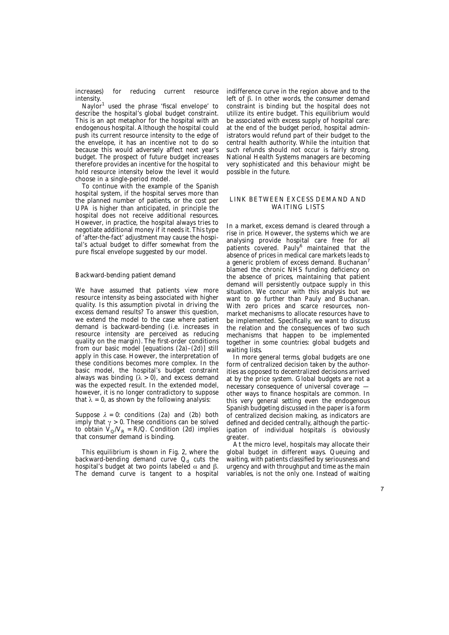increases) for reducing current resource intensity.

Naylor<sup>1</sup> used the phrase 'fiscal envelope' to describe the hospital's global budget constraint. This is an apt metaphor for the hospital with an endogenous hospital. Although the hospital could push its current resource intensity to the edge of the envelope, it has an incentive not to do so because this would adversely affect next year's budget. The prospect of future budget increases therefore provides an incentive for the hospital to hold resource intensity below the level it would choose in a single-period model.

To continue with the example of the Spanish hospital system, if the hospital serves more than the planned number of patients, or the cost per UPA is higher than anticipated, in principle the hospital does not receive additional resources. However, in practice, the hospital always tries to negotiate additional money if it needs it. This type of 'after-the-fact' adjustment may cause the hospital's actual budget to differ somewhat from the pure fiscal envelope suggested by our model.

## *Backward-bending patient demand*

We have assumed that patients view more resource intensity as being associated with higher quality. Is this assumption pivotal in driving the excess demand results? To answer this question, we extend the model to the case where patient demand is backward-bending (i.e. increases in resource intensity are perceived as reducing quality on the margin). The first-order conditions from our basic model [equations (2a)–(2d)] still apply in this case. However, the interpretation of these conditions becomes more complex. In the basic model, the hospital's budget constraint always was binding  $(\lambda > 0)$ , and excess demand was the expected result. In the extended model, however, it is no longer contradictory to suppose that  $\lambda = 0$ , as shown by the following analysis:

*Suppose*  $\lambda = 0$ : conditions (2a) and (2b) both imply that  $\gamma > 0$ . These conditions can be solved to obtain  $V_C/V_R = R/Q$ . Condition (2d) implies that consumer demand is binding.

This equilibrium is shown in Fig. 2, where the backward-bending demand curve  $Q_d$  cuts the hospital's budget at two points labeled  $\alpha$  and  $\beta$ . The demand curve is tangent to a hospital indifference curve in the region above and to the left of  $\beta$ . In other words, the consumer demand constraint is binding but the hospital does not utilize its entire budget. This equilibrium would be associated with excess supply of hospital care: at the end of the budget period, hospital administrators would refund part of their budget to the central health authority. While the intuition that such refunds should not occur is fairly strong, National Health Systems managers are becoming very sophisticated and this behaviour might be possible in the future.

# LINK BETWEEN EXCESS DEMAND AND WAITING LISTS

In a market, excess demand is cleared through a rise in price. However, the systems which we are analysing provide hospital care free for all patients covered. Pauly $6$  maintained that the absence of prices in medical care markets leads to a generic problem of excess demand. Buchanan<sup>7</sup> blamed the chronic NHS funding deficiency on the absence of prices, maintaining that patient demand will persistently outpace supply in this situation. We concur with this analysis but we want to go further than Pauly and Buchanan. With zero prices and scarce resources, nonmarket mechanisms to allocate resources have to be implemented. Specifically, we want to discuss the relation and the consequences of two such mechanisms that happen to be implemented together in some countries: global budgets *and* waiting lists.

In more general terms, global budgets are one form of centralized decision taken by the authorities as opposed to decentralized decisions arrived at by the price system. Global budgets are not a necessary consequence of universal coverage other ways to finance hospitals are common. In this very general setting even the endogenous Spanish budgeting discussed in the paper is a form of centralized decision making, as indicators are defined and decided centrally, although the participation of individual hospitals is obviously greater.

At the micro level, hospitals may allocate their global budget in different ways. Queuing and waiting, with patients classified by seriousness and urgency and with throughput and time as the main variables, is not the only one. Instead of waiting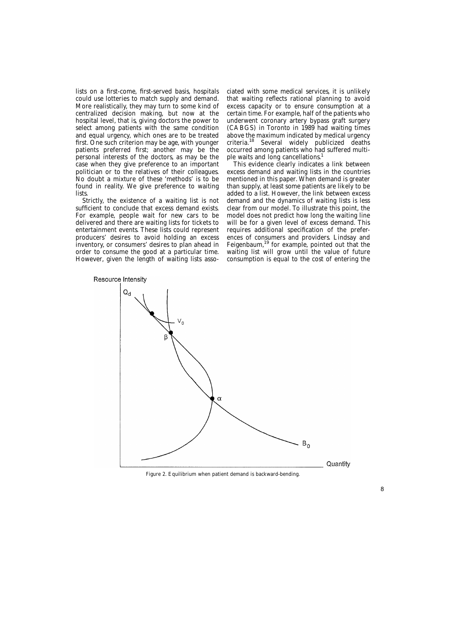lists on a first-come, first-served basis, hospitals could use lotteries to match supply and demand. More realistically, they may turn to some kind of centralized decision making, but now at the hospital level, that is, giving doctors the power to select among patients with the same condition and equal urgency, which ones are to be treated first. One such criterion may be age, with younger patients preferred first; another may be the personal interests of the doctors, as may be the case when they give preference to an important politician or to the relatives of their colleagues. No doubt a mixture of these 'methods' is to be found in reality. We give preference to waiting lists.

Strictly, the existence of a waiting list is not sufficient to conclude that excess demand exists. For example, people wait for new cars to be delivered and there are waiting lists for tickets to entertainment events. These lists could represent producers' desires to avoid holding an excess inventory, or consumers' desires to plan ahead in order to consume the good at a particular time. However, given the length of waiting lists associated with some medical services, it is unlikely that waiting reflects rational planning to avoid excess capacity or to ensure consumption at a certain time. For example, half of the patients who underwent coronary artery bypass graft surgery (CABGS) in Toronto in 1989 had waiting times above the maximum indicated by medical urgency criteria.18 Several widely publicized deaths occurred among patients who had suffered multiple waits and long cancellations.<sup>1</sup>

This evidence clearly indicates a link between excess demand and waiting lists in the countries mentioned in this paper. When demand is greater than supply, at least some patients are likely to be added to a list. However, the link between excess demand and the dynamics of waiting lists is less clear from our model. To illustrate this point, the model does not predict how long the waiting line will be for a given level of excess demand. This requires additional specification of the preferences of consumers and providers. Lindsay and Feigenbaum,<sup>19</sup> for example, pointed out that the waiting list will grow until the value of future consumption is equal to the cost of entering the



Figure 2. Equilibrium when patient demand is backward-bending.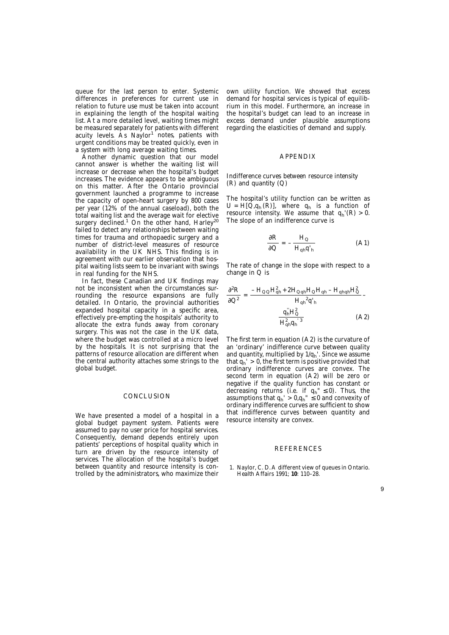queue for the last person to enter. Systemic differences in preferences for current use in relation to future use must be taken into account in explaining the length of the hospital waiting list. At a more detailed level, waiting times might be measured separately for patients with different acuity levels. As  $Naylor<sup>1</sup>$  notes, patients with urgent conditions may be treated quickly, even in a system with long average waiting times.

Another dynamic question that our model cannot answer is whether the waiting list will increase or decrease when the hospital's budget increases. The evidence appears to be ambiguous on this matter. After the Ontario provincial government launched a programme to increase the capacity of open-heart surgery by 800 cases per year (12% of the annual caseload), both the total waiting list and the average wait for elective surgery declined.<sup>1</sup> On the other hand, Harley<sup>20</sup> failed to detect any relationships between waiting times for trauma and orthopaedic surgery and a number of district-level measures of resource availability in the UK NHS. This finding is in agreement with our earlier observation that hospital waiting lists seem to be invariant with swings in real funding for the NHS.

In fact, these Canadian and UK findings may not be inconsistent when the circumstances surrounding the resource expansions are fully detailed. In Ontario, the provincial authorities expanded hospital capacity in a specific area, effectively pre-empting the hospitals' authority to allocate the extra funds away from coronary surgery. This was not the case in the UK data, where the budget was controlled at a micro level by the hospitals. It is not surprising that the patterns of resource allocation are different when the central authority attaches some strings to the global budget.

# **CONCLUSION**

We have presented a model of a hospital in a global budget payment system. Patients were assumed to pay no user price for hospital services. Consequently, demand depends entirely upon patients' perceptions of hospital quality which in turn are driven by the resource intensity of services. The allocation of the hospital's budget between quantity and resource intensity is controlled by the administrators, who maximize their own utility function. We showed that excess demand for hospital services is typical of equilibrium in this model. Furthermore, an increase in the hospital's budget can lead to an increase in excess demand under plausible assumptions regarding the elasticities of demand and supply.

#### APPENDIX

## *Indifference curves between resource intensity (R) and quantity (Q)*

The hospital's utility function can be written as  $U = H[\hat{Q}, q_h(R)]$ , where  $q_h$  is a function of resource intensity. We assume that  $q_h$ <sup>'</sup>( $R$ ) > 0. The slope of an indifference curve is

$$
\frac{\partial R}{\partial Q} = -\frac{H_Q}{H_{qh} q'_{\rm h}} \tag{A1}
$$

The rate of change in the slope with respect to a change in *Q* is

$$
\frac{\partial^2 R}{\partial Q^2} = \frac{-H_{QQ}H_{\text{qh}}^2 + 2H_{Q\text{qh}}H_QH_{\text{qh}} - H_{\text{qh}\text{qh}}H_{Q}^2}{H_{\text{qh}}^2 q'_{\text{h}}}
$$
\n
$$
\frac{q_{\text{h}}^2 H_{Q}^2}{H_{\text{qh}}^2 q_{\text{h}}^3}
$$
\n(A2)

The first term in equation (A2) is the curvature of an 'ordinary' indifference curve between quality and quantity, multiplied by  $1/q_h$ <sup>'</sup>. Since we assume that  $q_h$ ' > 0, the first term is positive provided that ordinary indifference curves are convex. The second term in equation (A2) will be zero or negative if the quality function has constant or decreasing returns (i.e. if  $q_h$ "  $\leq$  0). Thus, the assumptions that  $q_h' > 0, q_h'' \leq 0$  and convexity of ordinary indifference curves are sufficient to show that indifference curves between quantity and resource intensity are convex.

## **REFERENCES**

1. Naylor, C. D. A different view of queues in Ontario. *Health Affairs* 1991; **10**: 110–28.